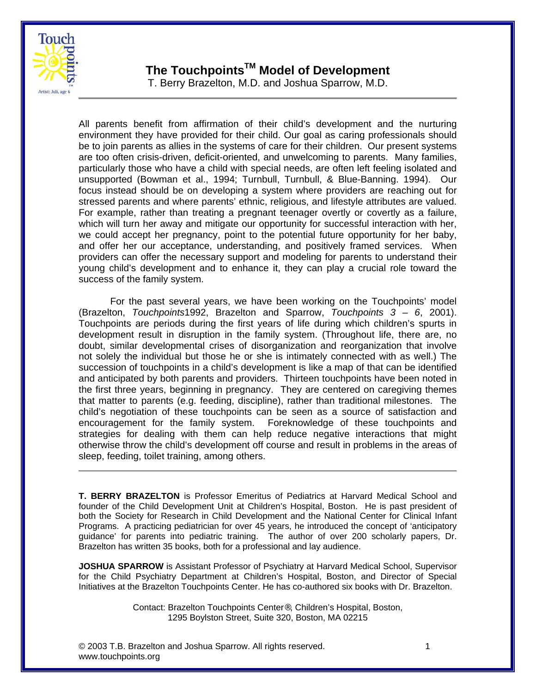

## **The TouchpointsTM Model of Development**

T. Berry Brazelton, M.D. and Joshua Sparrow, M.D.

All parents benefit from affirmation of their child's development and the nurturing environment they have provided for their child. Our goal as caring professionals should be to join parents as allies in the systems of care for their children. Our present systems are too often crisis-driven, deficit-oriented, and unwelcoming to parents. Many families, particularly those who have a child with special needs, are often left feeling isolated and unsupported (Bowman et al., 1994; Turnbull, Turnbull, & Blue-Banning. 1994). Our focus instead should be on developing a system where providers are reaching out for stressed parents and where parents' ethnic, religious, and lifestyle attributes are valued. For example, rather than treating a pregnant teenager overtly or covertly as a failure, which will turn her away and mitigate our opportunity for successful interaction with her, we could accept her pregnancy, point to the potential future opportunity for her baby, and offer her our acceptance, understanding, and positively framed services. When providers can offer the necessary support and modeling for parents to understand their young child's development and to enhance it, they can play a crucial role toward the success of the family system.

 For the past several years, we have been working on the Touchpoints' model (Brazelton, *Touchpoints*1992, Brazelton and Sparrow, *Touchpoints 3 – 6*, 2001). Touchpoints are periods during the first years of life during which children's spurts in development result in disruption in the family system. (Throughout life, there are, no doubt, similar developmental crises of disorganization and reorganization that involve not solely the individual but those he or she is intimately connected with as well.) The succession of touchpoints in a child's development is like a map of that can be identified and anticipated by both parents and providers. Thirteen touchpoints have been noted in the first three years, beginning in pregnancy. They are centered on caregiving themes that matter to parents (e.g. feeding, discipline), rather than traditional milestones. The child's negotiation of these touchpoints can be seen as a source of satisfaction and encouragement for the family system. Foreknowledge of these touchpoints and strategies for dealing with them can help reduce negative interactions that might otherwise throw the child's development off course and result in problems in the areas of sleep, feeding, toilet training, among others.

**T. BERRY BRAZELTON** is Professor Emeritus of Pediatrics at Harvard Medical School and founder of the Child Development Unit at Children's Hospital, Boston. He is past president of both the Society for Research in Child Development and the National Center for Clinical Infant Programs. A practicing pediatrician for over 45 years, he introduced the concept of 'anticipatory guidance' for parents into pediatric training. The author of over 200 scholarly papers, Dr. Brazelton has written 35 books, both for a professional and lay audience.

**JOSHUA SPARROW** is Assistant Professor of Psychiatry at Harvard Medical School, Supervisor for the Child Psychiatry Department at Children's Hospital, Boston, and Director of Special Initiatives at the Brazelton Touchpoints Center. He has co-authored six books with Dr. Brazelton.

> Contact: Brazelton Touchpoints Center®, Children's Hospital, Boston, 1295 Boylston Street, Suite 320, Boston, MA 02215

© 2003 T.B. Brazelton and Joshua Sparrow. All rights reserved. 1 [www.touchpoints.org](http://www.touchpoints.org)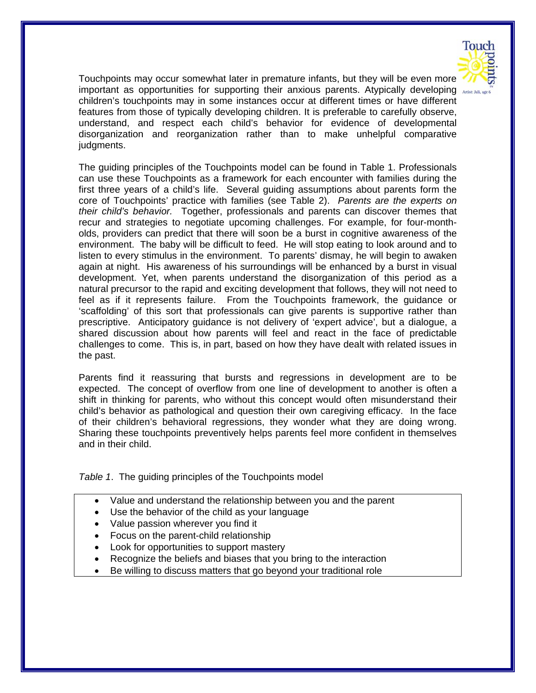

Touchpoints may occur somewhat later in premature infants, but they will be even more important as opportunities for supporting their anxious parents. Atypically developing  $\lambda$ children's touchpoints may in some instances occur at different times or have different features from those of typically developing children. It is preferable to carefully observe, understand, and respect each child's behavior for evidence of developmental disorganization and reorganization rather than to make unhelpful comparative judgments.

The guiding principles of the Touchpoints model can be found in Table 1. Professionals can use these Touchpoints as a framework for each encounter with families during the first three years of a child's life. Several guiding assumptions about parents form the core of Touchpoints' practice with families (see Table 2). *Parents are the experts on their child's behavior.* Together, professionals and parents can discover themes that recur and strategies to negotiate upcoming challenges. For example, for four-montholds, providers can predict that there will soon be a burst in cognitive awareness of the environment. The baby will be difficult to feed. He will stop eating to look around and to listen to every stimulus in the environment. To parents' dismay, he will begin to awaken again at night. His awareness of his surroundings will be enhanced by a burst in visual development. Yet, when parents understand the disorganization of this period as a natural precursor to the rapid and exciting development that follows, they will not need to feel as if it represents failure. From the Touchpoints framework, the guidance or 'scaffolding' of this sort that professionals can give parents is supportive rather than prescriptive. Anticipatory guidance is not delivery of 'expert advice', but a dialogue, a shared discussion about how parents will feel and react in the face of predictable challenges to come. This is, in part, based on how they have dealt with related issues in the past.

Parents find it reassuring that bursts and regressions in development are to be expected. The concept of overflow from one line of development to another is often a shift in thinking for parents, who without this concept would often misunderstand their child's behavior as pathological and question their own caregiving efficacy. In the face of their children's behavioral regressions, they wonder what they are doing wrong. Sharing these touchpoints preventively helps parents feel more confident in themselves and in their child.

*Table 1*. The guiding principles of the Touchpoints model

- Value and understand the relationship between you and the parent
- Use the behavior of the child as your language
- Value passion wherever you find it
- Focus on the parent-child relationship
- Look for opportunities to support mastery
- Recognize the beliefs and biases that you bring to the interaction
- Be willing to discuss matters that go beyond your traditional role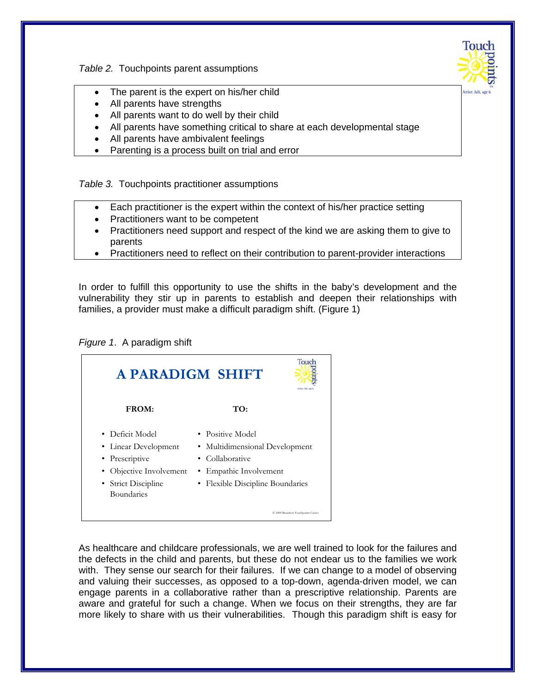*Table 2.* Touchpoints parent assumptions



- The parent is the expert on his/her child
- All parents have strengths
- All parents want to do well by their child
- All parents have something critical to share at each developmental stage
- All parents have ambivalent feelings
- Parenting is a process built on trial and error

*Table 3.* Touchpoints practitioner assumptions

- Each practitioner is the expert within the context of his/her practice setting
- Practitioners want to be competent
- Practitioners need support and respect of the kind we are asking them to give to parents
- Practitioners need to reflect on their contribution to parent-provider interactions

In order to fulfill this opportunity to use the shifts in the baby's development and the vulnerability they stir up in parents to establish and deepen their relationships with families, a provider must make a difficult paradigm shift. (Figure 1)

*Figure 1*. A paradigm shift



As healthcare and childcare professionals, we are well trained to look for the failures and the defects in the child and parents, but these do not endear us to the families we work with. They sense our search for their failures. If we can change to a model of observing and valuing their successes, as opposed to a top-down, agenda-driven model, we can engage parents in a collaborative rather than a prescriptive relationship. Parents are aware and grateful for such a change. When we focus on their strengths, they are far more likely to share with us their vulnerabilities. Though this paradigm shift is easy for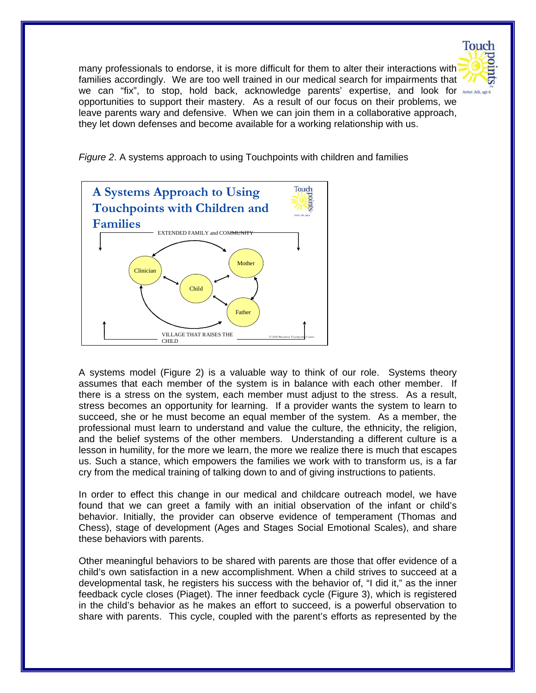

many professionals to endorse, it is more difficult for them to alter their interactions with families accordingly. We are too well trained in our medical search for impairments that we can "fix", to stop, hold back, acknowledge parents' expertise, and look for opportunities to support their mastery. As a result of our focus on their problems, we leave parents wary and defensive. When we can join them in a collaborative approach, they let down defenses and become available for a working relationship with us.

*Figure 2*. A systems approach to using Touchpoints with children and families



A systems model (Figure 2) is a valuable way to think of our role. Systems theory assumes that each member of the system is in balance with each other member. If there is a stress on the system, each member must adjust to the stress. As a result, stress becomes an opportunity for learning. If a provider wants the system to learn to succeed, she or he must become an equal member of the system. As a member, the professional must learn to understand and value the culture, the ethnicity, the religion, and the belief systems of the other members. Understanding a different culture is a lesson in humility, for the more we learn, the more we realize there is much that escapes us. Such a stance, which empowers the families we work with to transform us, is a far cry from the medical training of talking down to and of giving instructions to patients.

In order to effect this change in our medical and childcare outreach model, we have found that we can greet a family with an initial observation of the infant or child's behavior. Initially, the provider can observe evidence of temperament (Thomas and Chess), stage of development (Ages and Stages Social Emotional Scales), and share these behaviors with parents.

Other meaningful behaviors to be shared with parents are those that offer evidence of a child's own satisfaction in a new accomplishment. When a child strives to succeed at a developmental task, he registers his success with the behavior of, "I did it," as the inner feedback cycle closes (Piaget). The inner feedback cycle (Figure 3), which is registered in the child's behavior as he makes an effort to succeed, is a powerful observation to share with parents. This cycle, coupled with the parent's efforts as represented by the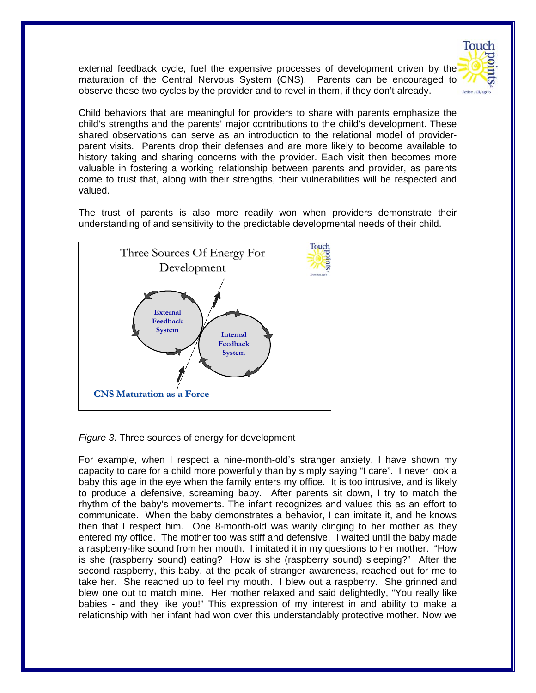external feedback cycle, fuel the expensive processes of development driven by the maturation of the Central Nervous System (CNS). Parents can be encouraged to observe these two cycles by the provider and to revel in them, if they don't already.

**Touch** 



The trust of parents is also more readily won when providers demonstrate their understanding of and sensitivity to the predictable developmental needs of their child.



*Figure 3*. Three sources of energy for development

For example, when I respect a nine-month-old's stranger anxiety, I have shown my capacity to care for a child more powerfully than by simply saying "I care". I never look a baby this age in the eye when the family enters my office. It is too intrusive, and is likely to produce a defensive, screaming baby. After parents sit down, I try to match the rhythm of the baby's movements. The infant recognizes and values this as an effort to communicate. When the baby demonstrates a behavior, I can imitate it, and he knows then that I respect him. One 8-month-old was warily clinging to her mother as they entered my office. The mother too was stiff and defensive. I waited until the baby made a raspberry-like sound from her mouth. I imitated it in my questions to her mother. "How is she (raspberry sound) eating? How is she (raspberry sound) sleeping?" After the second raspberry, this baby, at the peak of stranger awareness, reached out for me to take her. She reached up to feel my mouth. I blew out a raspberry. She grinned and blew one out to match mine. Her mother relaxed and said delightedly, "You really like babies - and they like you!" This expression of my interest in and ability to make a relationship with her infant had won over this understandably protective mother. Now we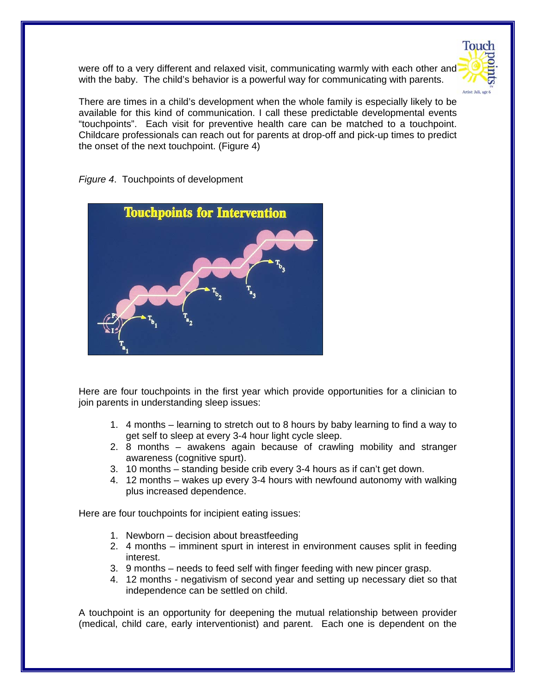

were off to a very different and relaxed visit, communicating warmly with each other and with the baby. The child's behavior is a powerful way for communicating with parents.

There are times in a child's development when the whole family is especially likely to be available for this kind of communication. I call these predictable developmental events "touchpoints". Each visit for preventive health care can be matched to a touchpoint. Childcare professionals can reach out for parents at drop-off and pick-up times to predict the onset of the next touchpoint. (Figure 4)



*Figure 4*. Touchpoints of development

Here are four touchpoints in the first year which provide opportunities for a clinician to join parents in understanding sleep issues:

- 1. 4 months learning to stretch out to 8 hours by baby learning to find a way to get self to sleep at every 3-4 hour light cycle sleep.
- 2. 8 months awakens again because of crawling mobility and stranger awareness (cognitive spurt).
- 3. 10 months standing beside crib every 3-4 hours as if can't get down.
- 4. 12 months wakes up every 3-4 hours with newfound autonomy with walking plus increased dependence.

Here are four touchpoints for incipient eating issues:

- 1. Newborn decision about breastfeeding
- 2. 4 months imminent spurt in interest in environment causes split in feeding interest.
- 3. 9 months needs to feed self with finger feeding with new pincer grasp.
- 4. 12 months negativism of second year and setting up necessary diet so that independence can be settled on child.

A touchpoint is an opportunity for deepening the mutual relationship between provider (medical, child care, early interventionist) and parent. Each one is dependent on the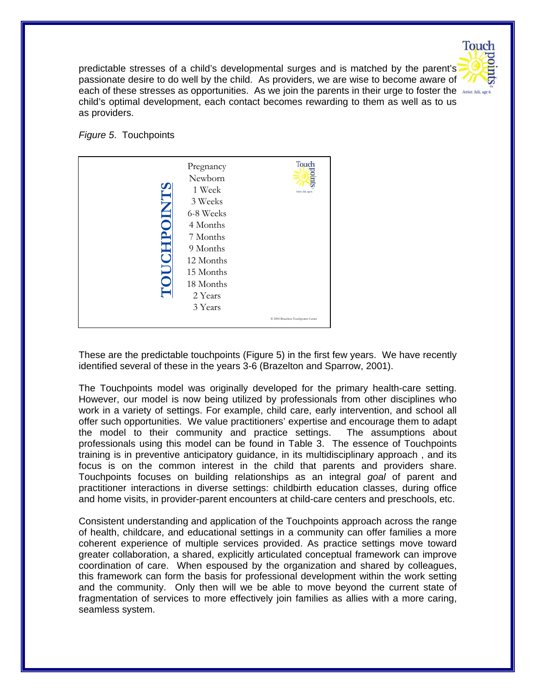

predictable stresses of a child's developmental surges and is matched by the parent's passionate desire to do well by the child. As providers, we are wise to become aware of each of these stresses as opportunities. As we join the parents in their urge to foster the child's optimal development, each contact becomes rewarding to them as well as to us as providers.

*Figure 5*. Touchpoints



These are the predictable touchpoints (Figure 5) in the first few years. We have recently identified several of these in the years 3-6 (Brazelton and Sparrow, 2001).

The Touchpoints model was originally developed for the primary health-care setting. However, our model is now being utilized by professionals from other disciplines who work in a variety of settings. For example, child care, early intervention, and school all offer such opportunities. We value practitioners' expertise and encourage them to adapt the model to their community and practice settings. The assumptions about professionals using this model can be found in Table 3. The essence of Touchpoints training is in preventive anticipatory guidance, in its multidisciplinary approach , and its focus is on the common interest in the child that parents and providers share. Touchpoints focuses on building relationships as an integral *goal* of parent and practitioner interactions in diverse settings: childbirth education classes, during office and home visits, in provider-parent encounters at child-care centers and preschools, etc.

Consistent understanding and application of the Touchpoints approach across the range of health, childcare, and educational settings in a community can offer families a more coherent experience of multiple services provided. As practice settings move toward greater collaboration, a shared, explicitly articulated conceptual framework can improve coordination of care. When espoused by the organization and shared by colleagues, this framework can form the basis for professional development within the work setting and the community. Only then will we be able to move beyond the current state of fragmentation of services to more effectively join families as allies with a more caring, seamless system.